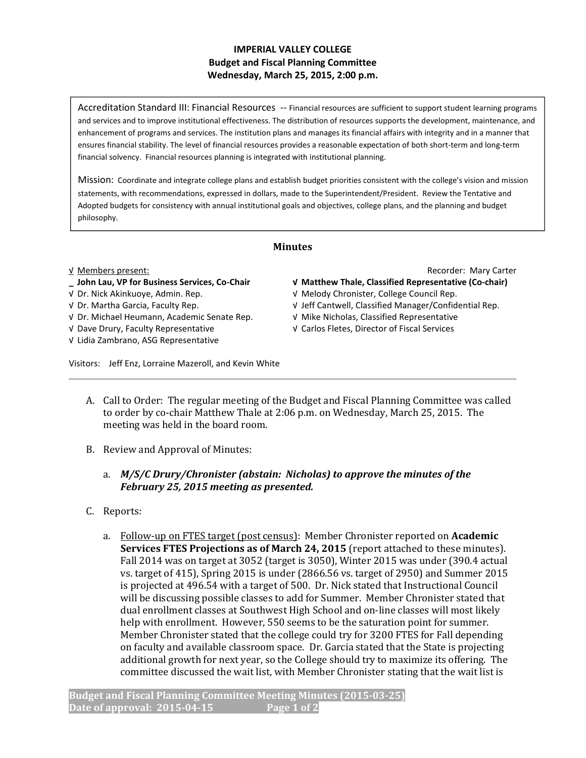### IMPERIAL VALLEY COLLEGE Budget and Fiscal Planning Committee Wednesday, March 25, 2015, 2:00 p.m.

Accreditation Standard III: Financial Resources -- Financial resources are sufficient to support student learning programs and services and to improve institutional effectiveness. The distribution of resources supports the development, maintenance, and enhancement of programs and services. The institution plans and manages its financial affairs with integrity and in a manner that ensures financial stability. The level of financial resources provides a reasonable expectation of both short-term and long-term financial solvency. Financial resources planning is integrated with institutional planning.

Mission: Coordinate and integrate college plans and establish budget priorities consistent with the college's vision and mission statements, with recommendations, expressed in dollars, made to the Superintendent/President. Review the Tentative and Adopted budgets for consistency with annual institutional goals and objectives, college plans, and the planning and budget philosophy.

## Minutes

- 
- 
- 
- 
- √ Lidia Zambrano, ASG Representative

√ Members present: Recorder: Mary Carter

- \_ John Lau, VP for Business Services, Co-Chair √ Matthew Thale, Classified Representative (Co-chair)
- √ Dr. Nick Akinkuoye, Admin. Rep. √ Melody Chronister, College Council Rep.
- √ Dr. Martha Garcia, Faculty Rep. √ Jeff Cantwell, Classified Manager/Confidential Rep.
- √ Dr. Michael Heumann, Academic Senate Rep. √ Mike Nicholas, Classified Representative
- √ Dave Drury, Faculty Representative √ Carlos Fletes, Director of Fiscal Services
- Visitors: Jeff Enz, Lorraine Mazeroll, and Kevin White
	- A. Call to Order: The regular meeting of the Budget and Fiscal Planning Committee was called to order by co-chair Matthew Thale at 2:06 p.m. on Wednesday, March 25, 2015. The meeting was held in the board room.
	- B. Review and Approval of Minutes:

# a. M/S/C Drury/Chronister (abstain: Nicholas) to approve the minutes of the February 25, 2015 meeting as presented.

- C. Reports:
	- a. Follow-up on FTES target (post census): Member Chronister reported on Academic Services FTES Projections as of March 24, 2015 (report attached to these minutes). Fall 2014 was on target at 3052 (target is 3050), Winter 2015 was under (390.4 actual vs. target of 415), Spring 2015 is under (2866.56 vs. target of 2950) and Summer 2015 is projected at 496.54 with a target of 500. Dr. Nick stated that Instructional Council will be discussing possible classes to add for Summer. Member Chronister stated that dual enrollment classes at Southwest High School and on-line classes will most likely help with enrollment. However, 550 seems to be the saturation point for summer. Member Chronister stated that the college could try for 3200 FTES for Fall depending on faculty and available classroom space. Dr. Garcia stated that the State is projecting additional growth for next year, so the College should try to maximize its offering. The committee discussed the wait list, with Member Chronister stating that the wait list is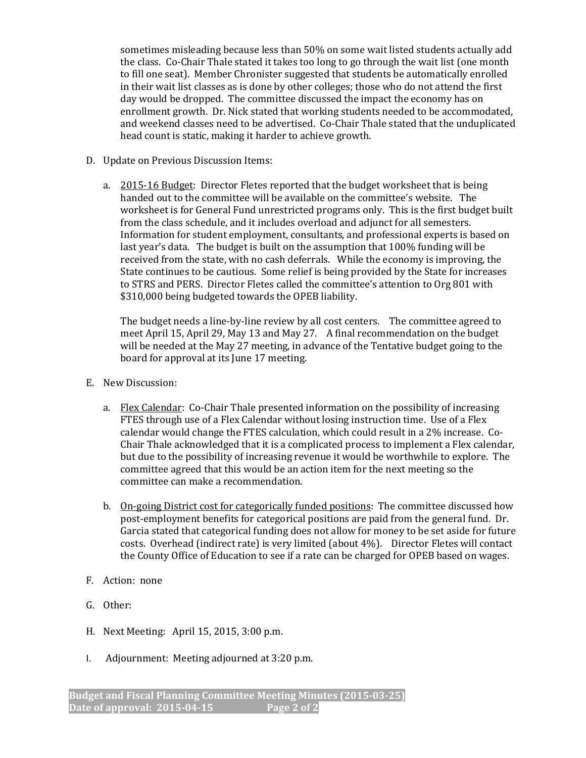sometimes misleading because less than 50% on some wait listed students actually add the class. Co-Chair Thale stated it takes too long to go through the wait list (one month to fill one seat). Member Chronister suggested that students be automatically enrolled in their wait list classes as is done by other colleges; those who do not attend the first day would be dropped. The committee discussed the impact the economy has on enrollment growth. Dr. Nick stated that working students needed to be accommodated, and weekend classes need to be advertised. Co-Chair Thale stated that the unduplicated head count is static, making it harder to achieve growth.

- D. Update on Previous Discussion Items:
	- a. 2015-16 Budget: Director Fletes reported that the budget worksheet that is being handed out to the committee will be available on the committee's website. The worksheet is for General Fund unrestricted programs only. This is the first budget built from the class schedule, and it includes overload and adjunct for all semesters. Information for student employment, consultants, and professional experts is based on last year's data. The budget is built on the assumption that 100% funding will be received from the state, with no cash deferrals. While the economy is improving, the State continues to be cautious. Some relief is being provided by the State for increases to STRS and PERS. Director Fletes called the committee's attention to Org 801 with \$310,000 being budgeted towards the OPEB liability.

The budget needs a line-by-line review by all cost centers. The committee agreed to meet April 15, April 29, May 13 and May 27. A final recommendation on the budget will be needed at the May 27 meeting, in advance of the Tentative budget going to the board for approval at its June 17 meeting.

- E. New Discussion:
	- a. Flex Calendar: Co-Chair Thale presented information on the possibility of increasing FTES through use of a Flex Calendar without losing instruction time. Use of a Flex calendar would change the FTES calculation, which could result in a 2% increase. Co-Chair Thale acknowledged that it is a complicated process to implement a Flex calendar, but due to the possibility of increasing revenue it would be worthwhile to explore. The committee agreed that this would be an action item for the next meeting so the committee can make a recommendation.
	- b. On-going District cost for categorically funded positions: The committee discussed how post-employment benefits for categorical positions are paid from the general fund. Dr. Garcia stated that categorical funding does not allow for money to be set aside for future costs. Overhead (indirect rate) is very limited (about 4%). Director Fletes will contact the County Office of Education to see if a rate can be charged for OPEB based on wages.
- F. Action: none
- G. Other:
- H. Next Meeting: April 15, 2015, 3:00 p.m.
- I. Adjournment: Meeting adjourned at 3:20 p.m.